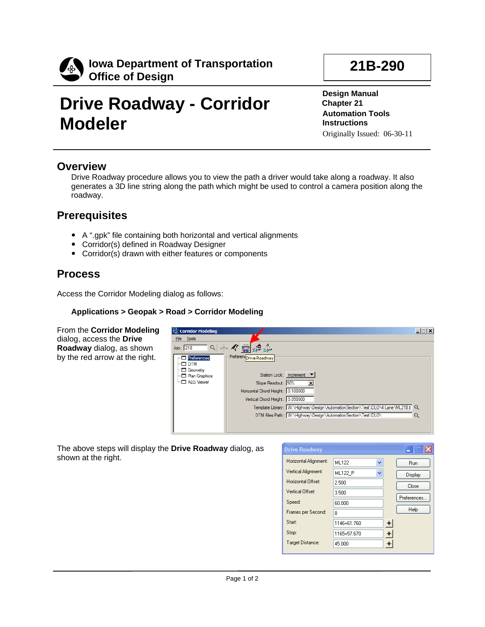

# **Drive Roadway - Corridor Modeler**

**21B-290**

**Design Manual Chapter 21 Automation Tools Instructions** Originally Issued: 06-30-11

### **Overview**

Drive Roadway procedure allows you to view the path a driver would take along a roadway. It also generates a 3D line string along the path which might be used to control a camera position along the roadway.

### **Prerequisites**

- A ".gpk" file containing both horizontal and vertical alignments
- Corridor(s) defined in Roadway Designer
- Corridor(s) drawn with either features or components

### **Process**

Access the Corridor Modeling dialog as follows:

#### **Applications > Geopak > Road > Corridor Modeling**

From the **Corridor Modeling** dialog, access the **Drive Roadway** dialog, as shown by the red arrow at the right.



The above steps will display the **Drive Roadway** dialog, as shown at the right.

| <b>Drive Roadway</b>  |                |   |                      | −           |
|-----------------------|----------------|---|----------------------|-------------|
| Horizontal Alignment: | ML122          | v |                      | <b>Run</b>  |
| Vertical Alignment:   | <b>ML122 P</b> | v |                      | Display     |
| Horizontal Offset:    | 2.500          |   |                      | Close       |
| Vertical Offset:      | 3.500          |   |                      | Preferences |
| Speed:                | 60.000         |   |                      |             |
| Frames per Second:    | 8              |   |                      | Help        |
| Start:                | 1146+61.760    |   | $\ddot{\phantom{1}}$ |             |
| Stop:                 | 1165+57.670    |   | ╇                    |             |
| Target Distance:      | 45,000         |   | +∌                   |             |
|                       |                |   |                      |             |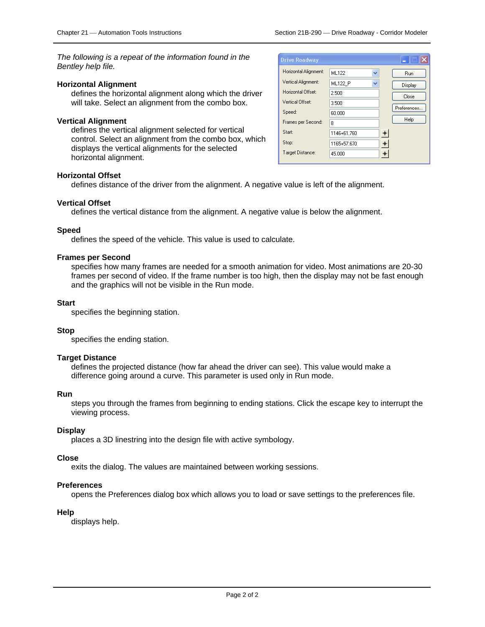*The following is a repeat of the information found in the Bentley help file.*

#### **Horizontal Alignment**

defines the horizontal alignment along which the driver will take. Select an alignment from the combo box.

#### **Vertical Alignment**

defines the vertical alignment selected for vertical control. Select an alignment from the combo box, which displays the vertical alignments for the selected horizontal alignment.

| <b>Drive Roadway</b>  |                     |   |             |
|-----------------------|---------------------|---|-------------|
| Horizontal Alignment: | ML122<br>v          |   | <b>Run</b>  |
| Vertical Alignment:   | <b>ML122 P</b><br>v |   | Display     |
| Horizontal Offset:    | 2.500               |   | Close       |
| Vertical Offset:      | 3.500               |   | Preferences |
| Speed:                | 60.000              |   |             |
| Frames per Second:    | 8                   |   | Help        |
| Start:                | 1146+61.760         | ┿ |             |
| Stop:                 | 1165+57.670         |   |             |
| Target Distance:      | 45,000              |   |             |

#### **Horizontal Offset**

defines distance of the driver from the alignment. A negative value is left of the alignment.

#### **Vertical Offset**

defines the vertical distance from the alignment. A negative value is below the alignment.

#### **Speed**

defines the speed of the vehicle. This value is used to calculate.

#### **Frames per Second**

specifies how many frames are needed for a smooth animation for video. Most animations are 20-30 frames per second of video. If the frame number is too high, then the display may not be fast enough and the graphics will not be visible in the Run mode.

#### **Start**

specifies the beginning station.

#### **Stop**

specifies the ending station.

#### **Target Distance**

defines the projected distance (how far ahead the driver can see). This value would make a difference going around a curve. This parameter is used only in Run mode.

#### **Run**

steps you through the frames from beginning to ending stations. Click the escape key to interrupt the viewing process.

#### **Display**

places a 3D linestring into the design file with active symbology.

#### **Close**

exits the dialog. The values are maintained between working sessions.

#### **Preferences**

opens the Preferences dialog box which allows you to load or save settings to the preferences file.

#### **Help**

displays help.